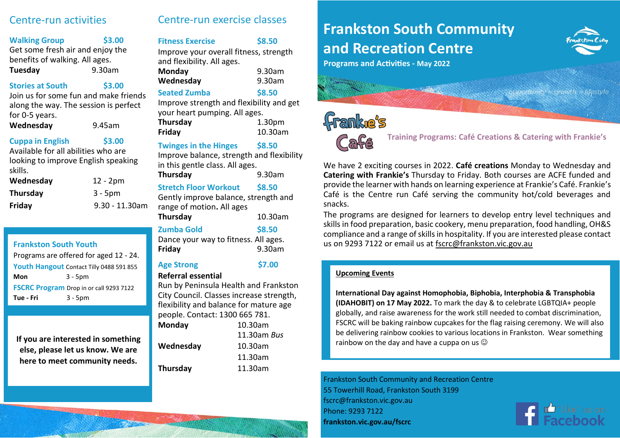# Centre-run activities

#### **Walking Group \$3.00**

Get some fresh air and enjoy the benefits of walking. All ages. **Tuesday** 9.30am

#### **Stories at South \$3.00**

Join us for some fun and make friends along the way. The session is perfect for 0-5 years.

**Wednesday** 9.45am

### **Cuppa in English \$3.00**

Available for all abilities who are looking to improve English speaking skills.

| Wednesday       | $12 - 2pm$     |
|-----------------|----------------|
| <b>Thursday</b> | $3 - 5pm$      |
| Friday          | 9.30 - 11.30am |

Programs are offered for aged 12 - 24. **Youth Hangout** Contact Tilly 0488 591 855 **Mon** 3 - 5pm **FSCRC Program** Drop in or call 9293 7122 **Tue - Fri** 3 - 5pm

**else, please let us know. We are here to meet community needs.**

# Centre-run exercise classes

# **Fitness Exercise \$8.50**

Improve your overall fitness, strength and flexibility. All ages. **Monday** 9.30am **Wednesday** 9.30am

# **Seated Zumba \$8.50**

Improve strength and flexibility and get your heart pumping. All ages. **Thursday** 1.30pm **Friday** 10.30am

# **Twinges in the Hinges \$8.50**

Improve balance, strength and flexibility in this gentle class. All ages.

**Thursday** 9.30am

# **Stretch Floor Workout \$8.50**

Gently improve balance, strength and range of motion**.** All ages **Thursday** 10.30am

#### **Zumba Gold \$8.50** Dance your way to fitness. All ages. **Friday** 9.30am

# **Age Strong \$7.00**

# **Referral essential**

Run by Peninsula Health and Frankston City Council. Classes increase strength, flexibility and balance for mature age people. Contact: 1300 665 781.

| Monday    | 10.30am        |
|-----------|----------------|
|           | $11.30$ am Bus |
| Wednesday | 10.30am        |
|           | 11.30am        |
| Thursday  | 11.30am        |
|           |                |

# **Frankston South Community and Recreation Centre**



**Programs and Activities - May 2022**

# **Franke's**



 **Training Programs: Café Creations & Catering with Frankie's**

We have 2 exciting courses in 2022. **Café creations** Monday to Wednesday and **Catering with Frankie's** Thursday to Friday. Both courses are ACFE funded and provide the learner with hands on learning experience at Frankie's Café. Frankie's Café is the Centre run Café serving the community hot/cold beverages and snacks.

The programs are designed for learners to develop entry level techniques and skills in food preparation, basic cookery, menu preparation, food handling, OH&S compliance and a range of skills in hospitality. If you are interested please contact **Frankston South Youth Example 2018** 2018 Way to fittiess. All ages. The us on 9293 7122 or email us at [fscrc@frankston.vic.gov.au](mailto:fscrc@frankston.vic.gov.au)

# **Upcoming Events**

**International Day against Homophobia, Biphobia, Interphobia & Transphobia (IDAHOBIT) on 17 May 2022.** To mark the day & to celebrate LGBTQIA+ people globally, and raise awareness for the work still needed to combat discrimination, FSCRC will be baking rainbow cupcakes for the flag raising ceremony. We will also be delivering rainbow cookies to various locations in Frankston. Wear something **If you are interested in something and Media collection**<br> **If you are interested in something and have a cuppa on us** 

> Frankston South Community and Recreation Centre 55 Towerhill Road, Frankston South 3199 fscrc@frankston.vic.gov.au Phone: 9293 7122 **frankston.vic.gov.au/fscrc**